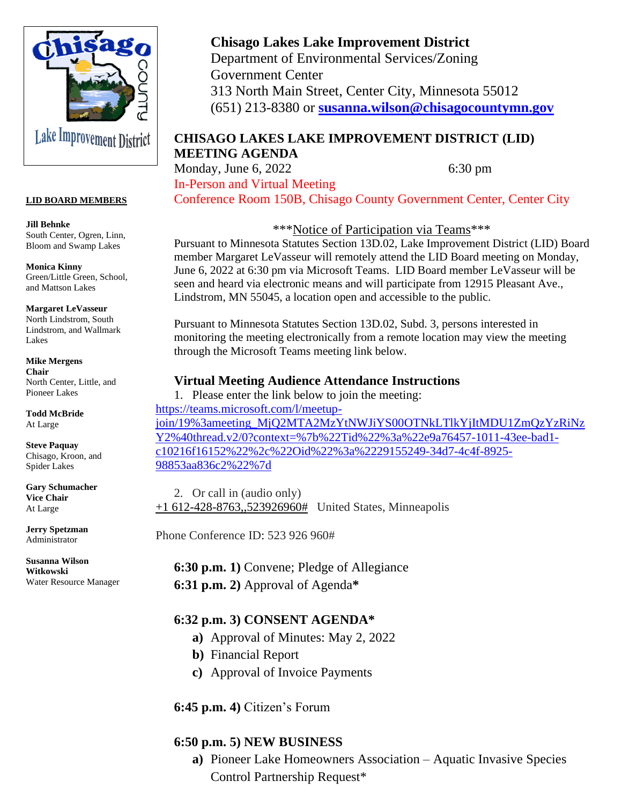

#### **LID BOARD MEMBERS**

**Jill Behnke** South Center, Ogren, Linn, Bloom and Swamp Lakes

**Monica Kinny** Green/Little Green, School, and Mattson Lakes

**Margaret LeVasseur** North Lindstrom, South Lindstrom, and Wallmark Lakes

**Mike Mergens Chair** North Center, Little, and Pioneer Lakes

**Todd McBride** At Large

**Steve Paquay** Chisago, Kroon, and Spider Lakes

**Gary Schumacher Vice Chair** At Large

**Jerry Spetzman** Administrator

**Susanna Wilson Witkowski** Water Resource Manager

# **Chisago Lakes Lake Improvement District**

Department of Environmental Services/Zoning Government Center 313 North Main Street, Center City, Minnesota 55012 (651) 213-8380 or **[susanna.wilson@chisagocountymn.gov](mailto:susanna.wilson@chisagocountymn.gov)**

### **CHISAGO LAKES LAKE IMPROVEMENT DISTRICT (LID) MEETING AGENDA**

Monday, June 6, 2022 6:30 pm In-Person and Virtual Meeting Conference Room 150B, Chisago County Government Center, Center City

\*\*\*Notice of Participation via Teams\*\*\*

Pursuant to Minnesota Statutes Section 13D.02, Lake Improvement District (LID) Board member Margaret LeVasseur will remotely attend the LID Board meeting on Monday, June 6, 2022 at 6:30 pm via Microsoft Teams. LID Board member LeVasseur will be seen and heard via electronic means and will participate from 12915 Pleasant Ave., Lindstrom, MN 55045, a location open and accessible to the public.

Pursuant to Minnesota Statutes Section 13D.02, Subd. 3, persons interested in monitoring the meeting electronically from a remote location may view the meeting through the Microsoft Teams meeting link below.

#### **Virtual Meeting Audience Attendance Instructions**

1. Please enter the link below to join the meeting: [https://teams.microsoft.com/l/meetup](https://teams.microsoft.com/l/meetup-join/19%3ameeting_MjQ2MTA2MzYtNWJiYS00OTNkLTlkYjItMDU1ZmQzYzRiNzY2%40thread.v2/0?context=%7b%22Tid%22%3a%22e9a76457-1011-43ee-bad1-c10216f16152%22%2c%22Oid%22%3a%2229155249-34d7-4c4f-8925-98853aa836c2%22%7d)[join/19%3ameeting\\_MjQ2MTA2MzYtNWJiYS00OTNkLTlkYjItMDU1ZmQzYzRiNz](https://teams.microsoft.com/l/meetup-join/19%3ameeting_MjQ2MTA2MzYtNWJiYS00OTNkLTlkYjItMDU1ZmQzYzRiNzY2%40thread.v2/0?context=%7b%22Tid%22%3a%22e9a76457-1011-43ee-bad1-c10216f16152%22%2c%22Oid%22%3a%2229155249-34d7-4c4f-8925-98853aa836c2%22%7d) [Y2%40thread.v2/0?context=%7b%22Tid%22%3a%22e9a76457-1011-43ee-bad1](https://teams.microsoft.com/l/meetup-join/19%3ameeting_MjQ2MTA2MzYtNWJiYS00OTNkLTlkYjItMDU1ZmQzYzRiNzY2%40thread.v2/0?context=%7b%22Tid%22%3a%22e9a76457-1011-43ee-bad1-c10216f16152%22%2c%22Oid%22%3a%2229155249-34d7-4c4f-8925-98853aa836c2%22%7d) [c10216f16152%22%2c%22Oid%22%3a%2229155249-34d7-4c4f-8925-](https://teams.microsoft.com/l/meetup-join/19%3ameeting_MjQ2MTA2MzYtNWJiYS00OTNkLTlkYjItMDU1ZmQzYzRiNzY2%40thread.v2/0?context=%7b%22Tid%22%3a%22e9a76457-1011-43ee-bad1-c10216f16152%22%2c%22Oid%22%3a%2229155249-34d7-4c4f-8925-98853aa836c2%22%7d) [98853aa836c2%22%7d](https://teams.microsoft.com/l/meetup-join/19%3ameeting_MjQ2MTA2MzYtNWJiYS00OTNkLTlkYjItMDU1ZmQzYzRiNzY2%40thread.v2/0?context=%7b%22Tid%22%3a%22e9a76457-1011-43ee-bad1-c10216f16152%22%2c%22Oid%22%3a%2229155249-34d7-4c4f-8925-98853aa836c2%22%7d)

2. Or call in (audio only)  $+1$  612-428-8763,,523926960# United States, Minneapolis

Phone Conference ID: 523 926 960#

**6:30 p.m. 1)** Convene; Pledge of Allegiance **6:31 p.m. 2)** Approval of Agenda**\*** 

#### **6:32 p.m. 3) CONSENT AGENDA\***

- **a)** Approval of Minutes: May 2, 2022
- **b)** Financial Report
- **c)** Approval of Invoice Payments

#### **6:45 p.m. 4)** Citizen's Forum

## **6:50 p.m. 5) NEW BUSINESS**

**a)** Pioneer Lake Homeowners Association – Aquatic Invasive Species Control Partnership Request\*